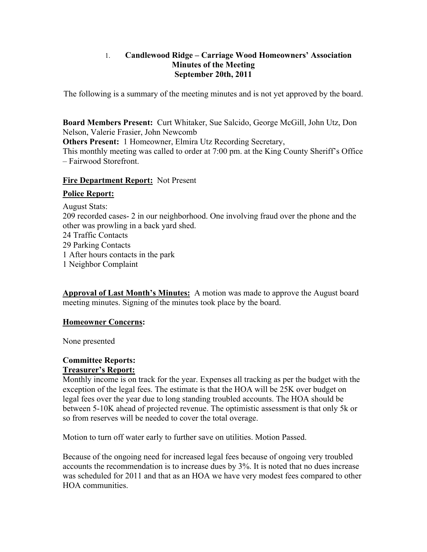## 1. **Candlewood Ridge – Carriage Wood Homeowners' Association Minutes of the Meeting September 20th, 2011**

The following is a summary of the meeting minutes and is not yet approved by the board.

**Board Members Present:** Curt Whitaker, Sue Salcido, George McGill, John Utz, Don Nelson, Valerie Frasier, John Newcomb

**Others Present:** 1 Homeowner, Elmira Utz Recording Secretary,

This monthly meeting was called to order at 7:00 pm. at the King County Sheriff's Office – Fairwood Storefront.

### **Fire Department Report:** Not Present

### **Police Report:**

August Stats: 209 recorded cases- 2 in our neighborhood. One involving fraud over the phone and the other was prowling in a back yard shed. 24 Traffic Contacts 29 Parking Contacts 1 After hours contacts in the park

1 Neighbor Complaint

**Approval of Last Month's Minutes:** A motion was made to approve the August board meeting minutes. Signing of the minutes took place by the board.

# **Homeowner Concerns:**

None presented

### **Committee Reports: Treasurer's Report:**

Monthly income is on track for the year. Expenses all tracking as per the budget with the exception of the legal fees. The estimate is that the HOA will be 25K over budget on legal fees over the year due to long standing troubled accounts. The HOA should be between 5-10K ahead of projected revenue. The optimistic assessment is that only 5k or so from reserves will be needed to cover the total overage.

Motion to turn off water early to further save on utilities. Motion Passed.

Because of the ongoing need for increased legal fees because of ongoing very troubled accounts the recommendation is to increase dues by 3%. It is noted that no dues increase was scheduled for 2011 and that as an HOA we have very modest fees compared to other HOA communities.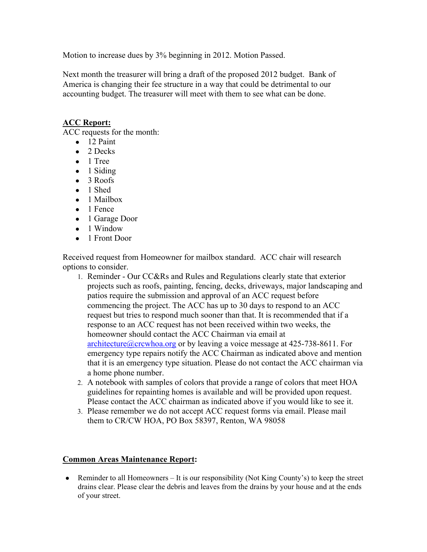Motion to increase dues by 3% beginning in 2012. Motion Passed.

Next month the treasurer will bring a draft of the proposed 2012 budget. Bank of America is changing their fee structure in a way that could be detrimental to our accounting budget. The treasurer will meet with them to see what can be done.

## **ACC Report:**

ACC requests for the month:

- $\bullet$  12 Paint
- $\bullet$  2 Decks
- 1 Tree
- $\bullet$  1 Siding
- 3 Roofs
- 1 Shed
- 1 Mailbox
- 1 Fence
- 1 Garage Door
- 1 Window
- 1 Front Door

Received request from Homeowner for mailbox standard. ACC chair will research options to consider.

- 1. Reminder Our CC&Rs and Rules and Regulations clearly state that exterior projects such as roofs, painting, fencing, decks, driveways, major landscaping and patios require the submission and approval of an ACC request before commencing the project. The ACC has up to 30 days to respond to an ACC request but tries to respond much sooner than that. It is recommended that if a response to an ACC request has not been received within two weeks, the homeowner should contact the ACC Chairman via email at architecture@crcwhoa.org or by leaving a voice message at  $425-738-8611$ . For emergency type repairs notify the ACC Chairman as indicated above and mention that it is an emergency type situation. Please do not contact the ACC chairman via a home phone number.
- 2. A notebook with samples of colors that provide a range of colors that meet HOA guidelines for repainting homes is available and will be provided upon request. Please contact the ACC chairman as indicated above if you would like to see it.
- 3. Please remember we do not accept ACC request forms via email. Please mail them to CR/CW HOA, PO Box 58397, Renton, WA 98058

# **Common Areas Maintenance Report:**

• Reminder to all Homeowners – It is our responsibility (Not King County's) to keep the street drains clear. Please clear the debris and leaves from the drains by your house and at the ends of your street.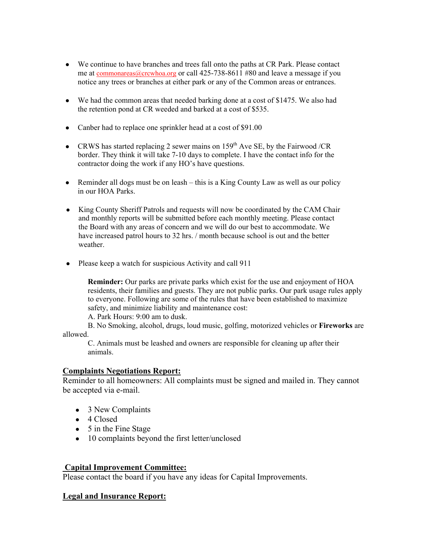- We continue to have branches and trees fall onto the paths at CR Park. Please contact me at commonareas@crcwhoa.org or call 425-738-8611 #80 and leave a message if you notice any trees or branches at either park or any of the Common areas or entrances.
- We had the common areas that needed barking done at a cost of \$1475. We also had the retention pond at CR weeded and barked at a cost of \$535.
- Canber had to replace one sprinkler head at a cost of \$91.00
- CRWS has started replacing 2 sewer mains on  $159<sup>th</sup>$  Ave SE, by the Fairwood /CR border. They think it will take 7-10 days to complete. I have the contact info for the contractor doing the work if any HO's have questions.
- $\bullet$  Reminder all dogs must be on leash this is a King County Law as well as our policy in our HOA Parks.
- King County Sheriff Patrols and requests will now be coordinated by the CAM Chair and monthly reports will be submitted before each monthly meeting. Please contact the Board with any areas of concern and we will do our best to accommodate. We have increased patrol hours to 32 hrs. / month because school is out and the better weather.
- Please keep a watch for suspicious Activity and call 911

**Reminder:** Our parks are private parks which exist for the use and enjoyment of HOA residents, their families and guests. They are not public parks. Our park usage rules apply to everyone. Following are some of the rules that have been established to maximize safety, and minimize liability and maintenance cost:

A. Park Hours: 9:00 am to dusk.

B. No Smoking, alcohol, drugs, loud music, golfing, motorized vehicles or **Fireworks** are allowed.

C. Animals must be leashed and owners are responsible for cleaning up after their animals.

#### **Complaints Negotiations Report:**

Reminder to all homeowners: All complaints must be signed and mailed in. They cannot be accepted via e-mail.

- 3 New Complaints
- 4 Closed
- 5 in the Fine Stage
- 10 complaints beyond the first letter/unclosed

#### **Capital Improvement Committee:**

Please contact the board if you have any ideas for Capital Improvements.

#### **Legal and Insurance Report:**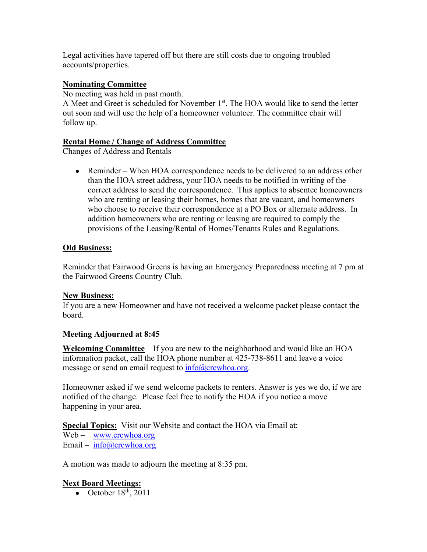Legal activities have tapered off but there are still costs due to ongoing troubled accounts/properties.

## **Nominating Committee**

No meeting was held in past month.

A Meet and Greet is scheduled for November 1<sup>st</sup>. The HOA would like to send the letter out soon and will use the help of a homeowner volunteer. The committee chair will follow up.

### **Rental Home / Change of Address Committee**

Changes of Address and Rentals

• Reminder – When HOA correspondence needs to be delivered to an address other than the HOA street address, your HOA needs to be notified in writing of the correct address to send the correspondence. This applies to absentee homeowners who are renting or leasing their homes, homes that are vacant, and homeowners who choose to receive their correspondence at a PO Box or alternate address. In addition homeowners who are renting or leasing are required to comply the provisions of the Leasing/Rental of Homes/Tenants Rules and Regulations.

### **Old Business:**

Reminder that Fairwood Greens is having an Emergency Preparedness meeting at 7 pm at the Fairwood Greens Country Club.

# **New Business:**

If you are a new Homeowner and have not received a welcome packet please contact the board.

# **Meeting Adjourned at 8:45**

**Welcoming Committee** – If you are new to the neighborhood and would like an HOA information packet, call the HOA phone number at 425-738-8611 and leave a voice message or send an email request to  $info@crcwhoa.org$ .

Homeowner asked if we send welcome packets to renters. Answer is yes we do, if we are notified of the change. Please feel free to notify the HOA if you notice a move happening in your area.

**Special Topics:** Visit our Website and contact the HOA via Email at:

Web – www.crcwhoa.org Email –  $info@crcwhoa.org$ 

A motion was made to adjourn the meeting at 8:35 pm.

# **Next Board Meetings:**

• October  $18<sup>th</sup>$ ,  $2011$